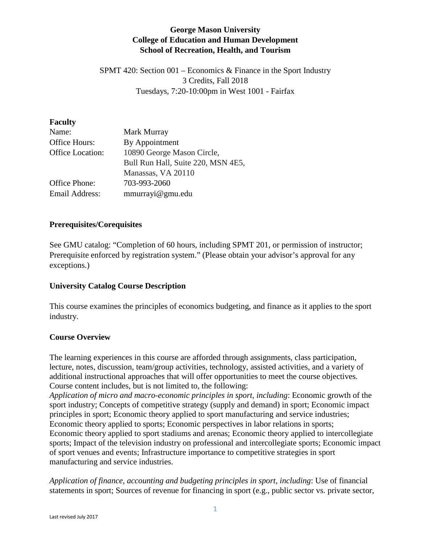# **George Mason University College of Education and Human Development School of Recreation, Health, and Tourism**

SPMT 420: Section 001 – Economics & Finance in the Sport Industry 3 Credits, Fall 2018 Tuesdays, 7:20-10:00pm in West 1001 - Fairfax

### **Faculty**

| Name:            | Mark Murray                        |
|------------------|------------------------------------|
| Office Hours:    | By Appointment                     |
| Office Location: | 10890 George Mason Circle,         |
|                  | Bull Run Hall, Suite 220, MSN 4E5, |
|                  | Manassas, VA 20110                 |
| Office Phone:    | 703-993-2060                       |
| Email Address:   | mmurrayi@gmu.edu                   |

### **Prerequisites/Corequisites**

See GMU catalog: "Completion of 60 hours, including SPMT 201, or permission of instructor; Prerequisite enforced by registration system." (Please obtain your advisor's approval for any exceptions.)

### **University Catalog Course Description**

This course examines the principles of economics budgeting, and finance as it applies to the sport industry.

### **Course Overview**

The learning experiences in this course are afforded through assignments, class participation, lecture, notes, discussion, team/group activities, technology, assisted activities, and a variety of additional instructional approaches that will offer opportunities to meet the course objectives. Course content includes, but is not limited to, the following:

*Application of micro and macro-economic principles in sport, including*: Economic growth of the sport industry; Concepts of competitive strategy (supply and demand) in sport; Economic impact principles in sport; Economic theory applied to sport manufacturing and service industries; Economic theory applied to sports; Economic perspectives in labor relations in sports; Economic theory applied to sport stadiums and arenas; Economic theory applied to intercollegiate sports; Impact of the television industry on professional and intercollegiate sports; Economic impact of sport venues and events; Infrastructure importance to competitive strategies in sport manufacturing and service industries.

*Application of finance, accounting and budgeting principles in sport, including*: Use of financial statements in sport; Sources of revenue for financing in sport (e.g., public sector vs. private sector,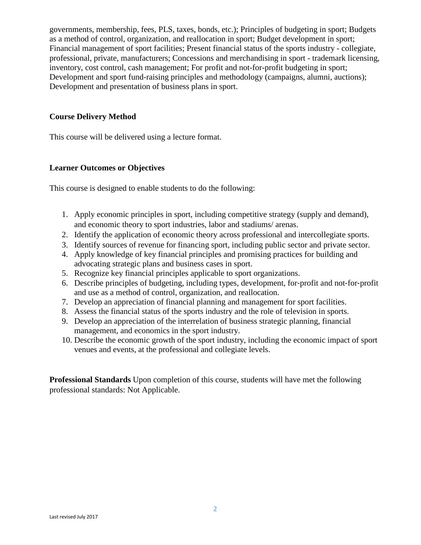governments, membership, fees, PLS, taxes, bonds, etc.); Principles of budgeting in sport; Budgets as a method of control, organization, and reallocation in sport; Budget development in sport; Financial management of sport facilities; Present financial status of the sports industry - collegiate, professional, private, manufacturers; Concessions and merchandising in sport - trademark licensing, inventory, cost control, cash management; For profit and not-for-profit budgeting in sport; Development and sport fund-raising principles and methodology (campaigns, alumni, auctions); Development and presentation of business plans in sport.

### **Course Delivery Method**

This course will be delivered using a lecture format.

# **Learner Outcomes or Objectives**

This course is designed to enable students to do the following:

- 1. Apply economic principles in sport, including competitive strategy (supply and demand), and economic theory to sport industries, labor and stadiums/ arenas.
- 2. Identify the application of economic theory across professional and intercollegiate sports.
- 3. Identify sources of revenue for financing sport, including public sector and private sector.
- 4. Apply knowledge of key financial principles and promising practices for building and advocating strategic plans and business cases in sport.
- 5. Recognize key financial principles applicable to sport organizations.
- 6. Describe principles of budgeting, including types, development, for‐profit and not‐for‐profit and use as a method of control, organization, and reallocation.
- 7. Develop an appreciation of financial planning and management for sport facilities.
- 8. Assess the financial status of the sports industry and the role of television in sports.
- 9. Develop an appreciation of the interrelation of business strategic planning, financial management, and economics in the sport industry.
- 10. Describe the economic growth of the sport industry, including the economic impact of sport venues and events, at the professional and collegiate levels.

**Professional Standards** Upon completion of this course, students will have met the following professional standards: Not Applicable.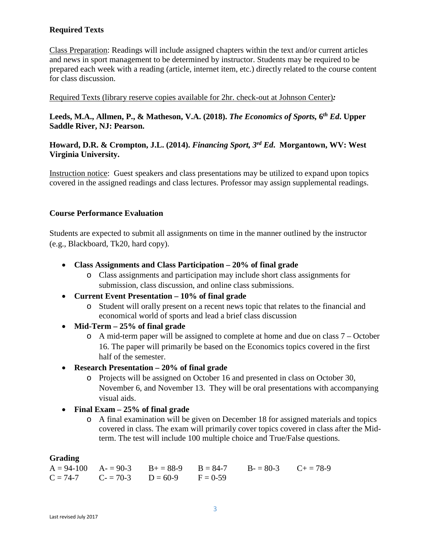# **Required Texts**

Class Preparation: Readings will include assigned chapters within the text and/or current articles and news in sport management to be determined by instructor. Students may be required to be prepared each week with a reading (article, internet item, etc.) directly related to the course content for class discussion.

Required Texts (library reserve copies available for 2hr. check-out at Johnson Center)*:* 

# **Leeds, M.A., Allmen, P., & Matheson, V.A. (2018).** *The Economics of Sports,* **6***th Ed***. Upper Saddle River, NJ: Pearson.**

# **Howard, D.R. & Crompton, J.L. (2014).** *Financing Sport, 3rd Ed***. Morgantown, WV: West Virginia University.**

Instruction notice: Guest speakers and class presentations may be utilized to expand upon topics covered in the assigned readings and class lectures. Professor may assign supplemental readings.

### **Course Performance Evaluation**

Students are expected to submit all assignments on time in the manner outlined by the instructor (e.g., Blackboard, Tk20, hard copy).

- **Class Assignments and Class Participation – 20% of final grade**
	- o Class assignments and participation may include short class assignments for submission, class discussion, and online class submissions.
- **Current Event Presentation – 10% of final grade**
	- o Student will orally present on a recent news topic that relates to the financial and economical world of sports and lead a brief class discussion
- **Mid-Term – 25% of final grade**
	- o A mid-term paper will be assigned to complete at home and due on class 7 October 16. The paper will primarily be based on the Economics topics covered in the first half of the semester.
- **Research Presentation – 20% of final grade**
	- o Projects will be assigned on October 16 and presented in class on October 30, November 6, and November 13. They will be oral presentations with accompanying visual aids.
- **Final Exam – 25% of final grade**
	- o A final examination will be given on December 18 for assigned materials and topics covered in class. The exam will primarily cover topics covered in class after the Midterm. The test will include 100 multiple choice and True/False questions.

### **Grading**

 $A = 94-100$   $A = 90-3$   $B = 88-9$   $B = 84-7$   $B = 80-3$   $C = 78-9$ <br>  $C = 74-7$   $C = 70-3$   $D = 60-9$   $F = 0-59$  $C = 70-3$  D = 60-9 F = 0-59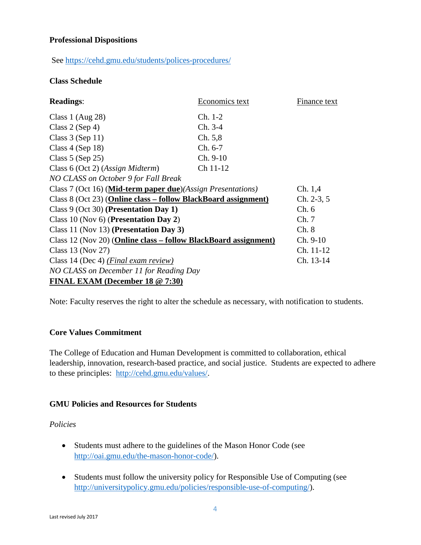### **Professional Dispositions**

### See<https://cehd.gmu.edu/students/polices-procedures/>

### **Class Schedule**

| <b>Readings:</b>                                                              | Economics text | Finance text |  |
|-------------------------------------------------------------------------------|----------------|--------------|--|
| Class 1 (Aug $28$ )                                                           | $Ch. 1-2$      |              |  |
| Class $2$ (Sep 4)                                                             | Ch. 3-4        |              |  |
| Class $3$ (Sep 11)                                                            | Ch. 5,8        |              |  |
| Class $4$ (Sep 18)                                                            | $Ch. 6-7$      |              |  |
| Class $5$ (Sep 25)                                                            | $Ch. 9-10$     |              |  |
| Class 6 (Oct 2) (Assign Midterm)                                              | Ch 11-12       |              |  |
| NO CLASS on October 9 for Fall Break                                          |                |              |  |
| Class 7 (Oct 16) ( <b>Mid-term paper due</b> )( <i>Assign Presentations</i> ) |                | Ch. 1,4      |  |
| Class 8 (Oct 23) (Online class – follow BlackBoard assignment)                |                | $Ch. 2-3, 5$ |  |
| Class 9 (Oct 30) (Presentation Day 1)                                         |                | Ch. 6        |  |
| Class 10 (Nov 6) (Presentation Day 2)                                         | Ch.7           |              |  |
| Class 11 (Nov 13) (Presentation Day 3)                                        |                | Ch.8         |  |
| Class 12 (Nov 20) ( <b>Online class – follow BlackBoard assignment</b> )      |                | $Ch. 9-10$   |  |
| Class 13 (Nov 27)                                                             |                | Ch. 11-12    |  |
| Class 14 (Dec 4) ( <i>Final exam review</i> )                                 |                | Ch. 13-14    |  |
| NO CLASS on December 11 for Reading Day                                       |                |              |  |
| FINAL EXAM (December 18 $@ 7:30$ )                                            |                |              |  |

Note: Faculty reserves the right to alter the schedule as necessary, with notification to students.

#### **Core Values Commitment**

The College of Education and Human Development is committed to collaboration, ethical leadership, innovation, research-based practice, and social justice. Students are expected to adhere to these principles: [http://cehd.gmu.edu/values/.](http://cehd.gmu.edu/values/)

### **GMU Policies and Resources for Students**

#### *Policies*

- Students must adhere to the guidelines of the Mason Honor Code (see [http://oai.gmu.edu/the-mason-honor-code/\)](http://oai.gmu.edu/the-mason-honor-code/).
- Students must follow the university policy for Responsible Use of Computing (see [http://universitypolicy.gmu.edu/policies/responsible-use-of-computing/\)](http://universitypolicy.gmu.edu/policies/responsible-use-of-computing/).